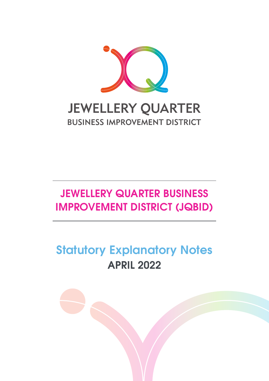

# **JEWELLERY QUARTER BUSINESS IMPROVEMENT DISTRICT (JQBID)**

# **Statutory Explanatory Notes APRIL 2022**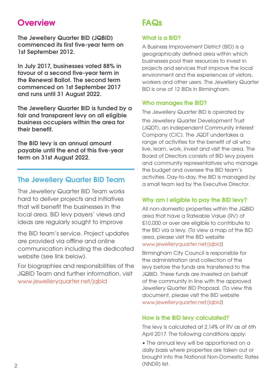# **Overview**

**The Jewellery Quarter BID (JQBID) commenced its first five-year term on 1st September 2012.**

**In July 2017, businesses voted 88% in favour of a second five-year term in the Renewal Ballot. The second term commenced on 1st September 2017 and runs until 31 August 2022.**

**The Jewellery Quarter BID is funded by a fair and transparent levy on all eligible business occupiers within the area for their benefit.**

**The BID levy is an annual amount payable until the end of this five-year term on 31st August 2022.**

# **The Jewellery Quarter BID Team**

The Jewellery Quarter BID Team works hard to deliver projects and initiatives that will benefit the businesses in the local area. BID levy payers' views and ideas are regularly sought to improve

the BID team's service. Project updates are provided via offline and online communication including the dedicated website (see link below).

For biographies and responsibilities of the JQBID Team and further information, visit www.jewelleryquarter.net/jqbid

# **FAQs**

## **What is a BID?**

A Business Improvement District (BID) is a geographically defined area within which businesses pool their resources to invest in projects and services that improve the local environment and the experiences of visitors, workers and other users. The Jewellery Quarter BID is one of 12 BIDs in Birmingham.

#### **Who manages the BID?**

The Jewellery Quarter BID is operated by

the Jewellery Quarter Development Trust (JQDT), an independent Community Interest Company (CIC). The JQDT undertakes a range of activities for the benefit of all who live, learn, work, invest and visit the area. The Board of Directors consists of BID levy payers and community representatives who manage the budget and oversee the BID team's activities. Day-to-day, the BID is managed by a small team led by the Executive Director.

## **Why am I eligible to pay the BID levy?**

All non-domestic properties within the JQBID area that have a Rateable Value (RV) of £10,000 or over are eligible to contribute to the BID via a levy. [To view a map of the BID area, please visit the BID website www.jewelleryquarter.net/jqbid]

Birmingham City Council is responsible for the administration and collection of the levy before the funds are transferred to the JQBID. These funds are invested on behalf of the community in line with the approved Jewellery Quarter BID Proposal. [To view this document, please visit the BID website www.jewelleryquarter.net/jqbid]

#### **How is the BID levy calculated?**

The levy is calculated at 2.14% of RV as at 6th April 2017. The following conditions apply:

• The annual levy will be apportioned on a daily basis where properties are taken out or brought into the National Non-Domestic Rates (NNDR) list. 2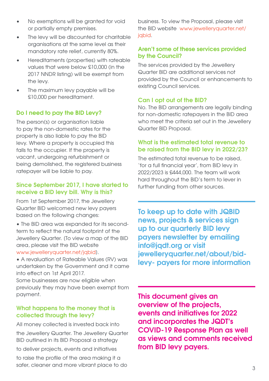- No exemptions will be granted for void or partially empty premises.
- The levy will be discounted for charitable organisations at the same level as their mandatory rate relief, currently 80%.
- Hereditaments (properties) with rateable values that were below £10,000 (in the 2017 NNDR listing) will be exempt from the levy.
- The maximum levy payable will be £10,000 per hereditament.

### **Do I need to pay the BID Levy?**

The person(s) or organisation liable to pay the non-domestic rates for the property is also liable to pay the BID levy. Where a property is occupied this falls to the occupier. If the property is vacant, undergoing refurbishment or being demolished, the registered business ratepayer will be liable to pay.

#### **Since September 2017, I have started to receive a BID levy bill. Why is this?**

From 1st September 2017, the Jewellery Quarter BID welcomed new levy payers based on the following changes:

• The BID area was expanded for its secondterm to reflect the natural footprint of the Jewellery Quarter. [To view a map of the BID area, please visit the BID website www.jewelleryquarter.net/jqbid].

• A revaluation of Rateable Values (RV) was

undertaken by the Government and it came into effect on 1st April 2017.

Some businesses are now eligible when previously they may have been exempt from payment.

#### **What happens to the money that is collected through the levy?**

All money collected is invested back into the Jewellery Quarter. The Jewellery Quarter BID outlined in its BID Proposal a strategy to deliver projects, events and initiatives

to raise the profile of the area making it a safer, cleaner and more vibrant place to do

business. To view the Proposal, please visit the BID website www.jewelleryquarter.net/ jabid.

#### **Aren't some of these services provided by the Council?**

The services provided by the Jewellery Quarter BID are additional services not provided by the Council or enhancements to existing Council services.

#### **Can I opt out of the BID?**

No. The BID arrangements are legally binding for non-domestic ratepayers in the BID area who meet the criteria set out in the Jewellery Quarter BID Proposal.

#### **What is the estimated total revenue to be raised from the BID levy in 2022/23?**

The estimated total revenue to be raised, 'for a full financial year', from BID levy in 2022/2023 is £444,000. The team will work hard throughout the BID's term to lever in further funding from other sources.

**To keep up to date with JQBID news, projects & services sign up to our quarterly BID levy payers newsletter by emailing info@jqdt.org or visit jewelleryquarter.net/about/bidlevy- payers for more information**

**This document gives an overview of the projects, events and initiatives for 2022 and incorporates the JQDT's COVID-19 Response Plan as well as views and comments received from BID levy payers.**